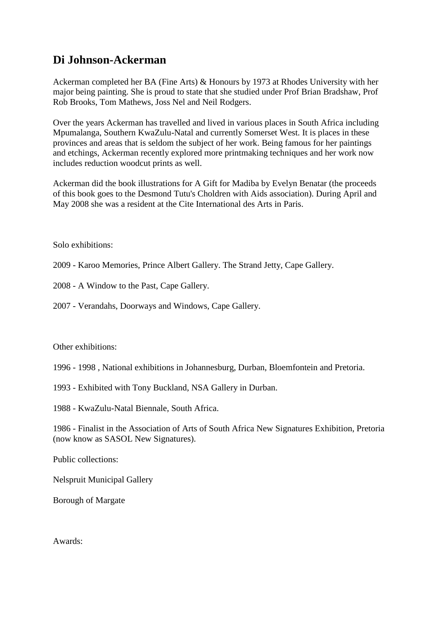## **Di Johnson-Ackerman**

Ackerman completed her BA (Fine Arts) & Honours by 1973 at Rhodes University with her major being painting. She is proud to state that she studied under Prof Brian Bradshaw, Prof Rob Brooks, Tom Mathews, Joss Nel and Neil Rodgers.

Over the years Ackerman has travelled and lived in various places in South Africa including Mpumalanga, Southern KwaZulu-Natal and currently Somerset West. It is places in these provinces and areas that is seldom the subject of her work. Being famous for her paintings and etchings, Ackerman recently explored more printmaking techniques and her work now includes reduction woodcut prints as well.

Ackerman did the book illustrations for A Gift for Madiba by Evelyn Benatar (the proceeds of this book goes to the Desmond Tutu's Choldren with Aids association). During April and May 2008 she was a resident at the Cite International des Arts in Paris.

Solo exhibitions:

2009 - Karoo Memories, Prince Albert Gallery. The Strand Jetty, Cape Gallery.

2008 - A Window to the Past, Cape Gallery.

2007 - Verandahs, Doorways and Windows, Cape Gallery.

## Other exhibitions:

- 1996 1998 , National exhibitions in Johannesburg, Durban, Bloemfontein and Pretoria.
- 1993 Exhibited with Tony Buckland, NSA Gallery in Durban.

1988 - KwaZulu-Natal Biennale, South Africa.

1986 - Finalist in the Association of Arts of South Africa New Signatures Exhibition, Pretoria (now know as SASOL New Signatures).

Public collections:

Nelspruit Municipal Gallery

Borough of Margate

Awards: